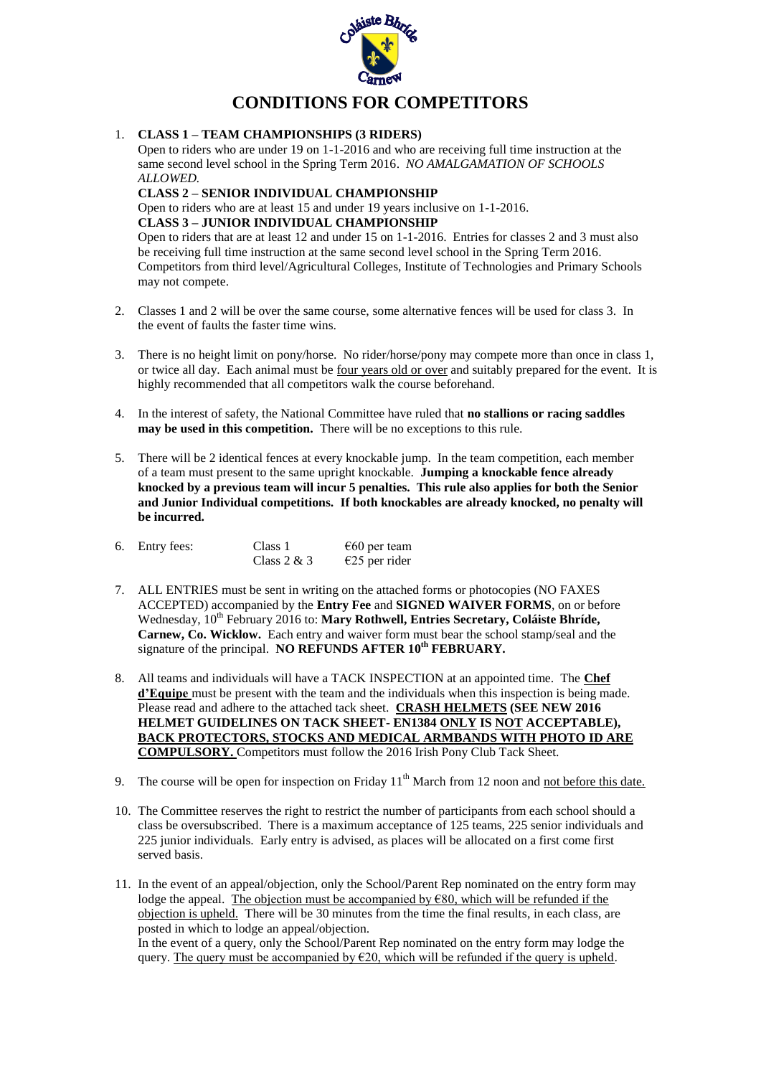

# **CONDITIONS FOR COMPETITORS**

#### 1. **CLASS 1 – TEAM CHAMPIONSHIPS (3 RIDERS)**

Open to riders who are under 19 on 1-1-2016 and who are receiving full time instruction at the same second level school in the Spring Term 2016. *NO AMALGAMATION OF SCHOOLS ALLOWED.*

## **CLASS 2 – SENIOR INDIVIDUAL CHAMPIONSHIP**

Open to riders who are at least 15 and under 19 years inclusive on 1-1-2016. **CLASS 3 – JUNIOR INDIVIDUAL CHAMPIONSHIP** Open to riders that are at least 12 and under 15 on 1-1-2016. Entries for classes 2 and 3 must also be receiving full time instruction at the same second level school in the Spring Term 2016. Competitors from third level/Agricultural Colleges, Institute of Technologies and Primary Schools may not compete.

- 2. Classes 1 and 2 will be over the same course, some alternative fences will be used for class 3. In the event of faults the faster time wins.
- 3. There is no height limit on pony/horse. No rider/horse/pony may compete more than once in class 1, or twice all day. Each animal must be four years old or over and suitably prepared for the event. It is highly recommended that all competitors walk the course beforehand.
- 4. In the interest of safety, the National Committee have ruled that **no stallions or racing saddles may be used in this competition.** There will be no exceptions to this rule.
- 5. There will be 2 identical fences at every knockable jump. In the team competition, each member of a team must present to the same upright knockable. **Jumping a knockable fence already knocked by a previous team will incur 5 penalties. This rule also applies for both the Senior and Junior Individual competitions. If both knockables are already knocked, no penalty will be incurred.**

|  | 6. Entry fees: | Class 1       | $\epsilon$ 60 per team |
|--|----------------|---------------|------------------------|
|  |                | Class $2 & 3$ | $E25$ per rider        |

- 7. ALL ENTRIES must be sent in writing on the attached forms or photocopies (NO FAXES ACCEPTED) accompanied by the **Entry Fee** and **SIGNED WAIVER FORMS**, on or before Wednesday, 10<sup>th</sup> February 2016 to: Mary Rothwell, Entries Secretary, Coláiste Bhríde, **Carnew, Co. Wicklow.** Each entry and waiver form must bear the school stamp/seal and the signature of the principal. NO REFUNDS AFTER 10<sup>th</sup> FEBRUARY.
- 8. All teams and individuals will have a TACK INSPECTION at an appointed time. The **Chef d'Equipe** must be present with the team and the individuals when this inspection is being made. Please read and adhere to the attached tack sheet. **CRASH HELMETS (SEE NEW 2016 HELMET GUIDELINES ON TACK SHEET- EN1384 ONLY IS NOT ACCEPTABLE), BACK PROTECTORS, STOCKS AND MEDICAL ARMBANDS WITH PHOTO ID ARE COMPULSORY.** Competitors must follow the 2016 Irish Pony Club Tack Sheet.
- 9. The course will be open for inspection on Friday  $11<sup>th</sup>$  March from 12 noon and not before this date.
- 10. The Committee reserves the right to restrict the number of participants from each school should a class be oversubscribed. There is a maximum acceptance of 125 teams, 225 senior individuals and 225 junior individuals. Early entry is advised, as places will be allocated on a first come first served basis.
- 11. In the event of an appeal/objection, only the School/Parent Rep nominated on the entry form may lodge the appeal. The objection must be accompanied by  $€80$ , which will be refunded if the objection is upheld. There will be 30 minutes from the time the final results, in each class, are posted in which to lodge an appeal/objection.

In the event of a query, only the School/Parent Rep nominated on the entry form may lodge the query. The query must be accompanied by  $E20$ , which will be refunded if the query is upheld.